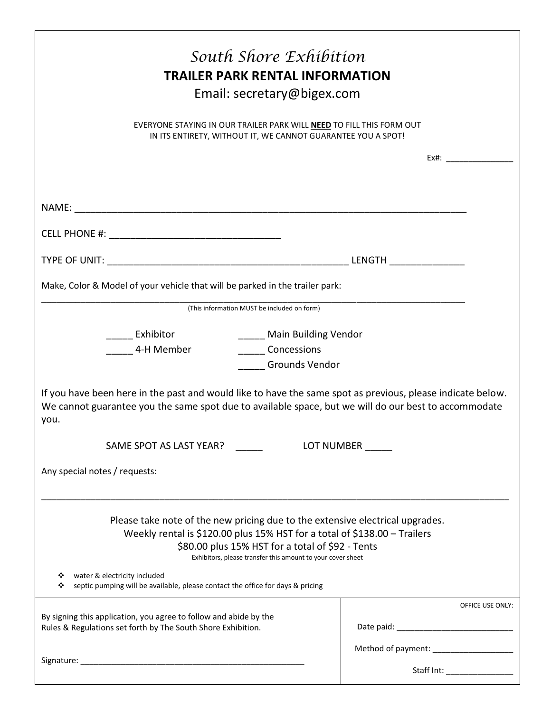| South Shore Exhibition<br><b>TRAILER PARK RENTAL INFORMATION</b><br>Email: secretary@bigex.com                                                                                                                                                                                |                                                                         |
|-------------------------------------------------------------------------------------------------------------------------------------------------------------------------------------------------------------------------------------------------------------------------------|-------------------------------------------------------------------------|
| EVERYONE STAYING IN OUR TRAILER PARK WILL NEED TO FILL THIS FORM OUT<br>IN ITS ENTIRETY, WITHOUT IT, WE CANNOT GUARANTEE YOU A SPOT!                                                                                                                                          |                                                                         |
|                                                                                                                                                                                                                                                                               | Ex#: ___________________                                                |
|                                                                                                                                                                                                                                                                               |                                                                         |
|                                                                                                                                                                                                                                                                               |                                                                         |
|                                                                                                                                                                                                                                                                               |                                                                         |
| Make, Color & Model of your vehicle that will be parked in the trailer park:                                                                                                                                                                                                  |                                                                         |
| (This information MUST be included on form)                                                                                                                                                                                                                                   |                                                                         |
| Exhibitor<br><b>Main Building Vendor</b><br>Concessions<br>4-H Member<br><b>Grounds Vendor</b>                                                                                                                                                                                |                                                                         |
| If you have been here in the past and would like to have the same spot as previous, please indicate below.<br>We cannot guarantee you the same spot due to available space, but we will do our best to accommodate<br>you.                                                    |                                                                         |
| SAME SPOT AS LAST YEAR?<br>LOT NUMBER                                                                                                                                                                                                                                         |                                                                         |
| Any special notes / requests:                                                                                                                                                                                                                                                 |                                                                         |
| Please take note of the new pricing due to the extensive electrical upgrades.<br>Weekly rental is \$120.00 plus 15% HST for a total of \$138.00 - Trailers<br>\$80.00 plus 15% HST for a total of \$92 - Tents<br>Exhibitors, please transfer this amount to your cover sheet |                                                                         |
| water & electricity included<br>❖<br>septic pumping will be available, please contact the office for days & pricing                                                                                                                                                           |                                                                         |
| By signing this application, you agree to follow and abide by the<br>Rules & Regulations set forth by The South Shore Exhibition.                                                                                                                                             | OFFICE USE ONLY:                                                        |
|                                                                                                                                                                                                                                                                               | Method of payment: ____________________<br>Staff Int: _________________ |